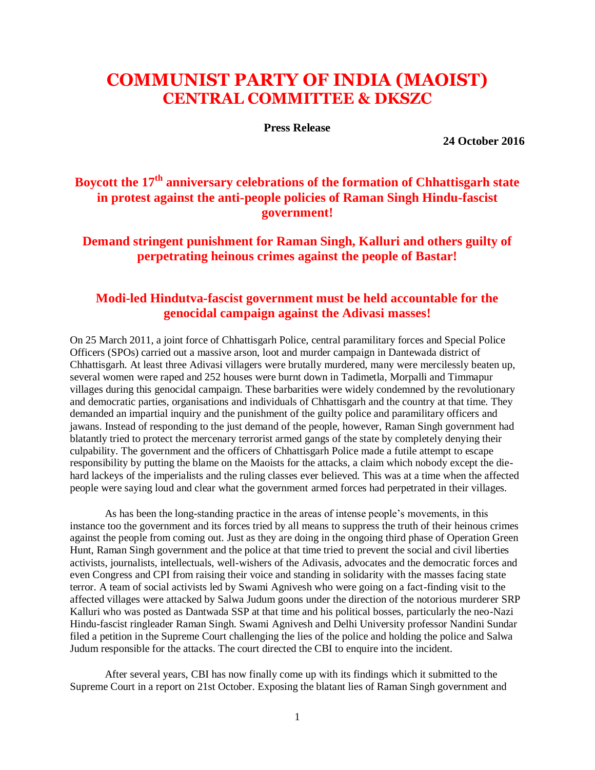## **COMMUNIST PARTY OF INDIA (MAOIST) CENTRAL COMMITTEE & DKSZC**

**Press Release**

**24 October 2016**

## **Boycott the 17th anniversary celebrations of the formation of Chhattisgarh state in protest against the anti-people policies of Raman Singh Hindu-fascist government!**

**Demand stringent punishment for Raman Singh, Kalluri and others guilty of perpetrating heinous crimes against the people of Bastar!**

## **Modi-led Hindutva-fascist government must be held accountable for the genocidal campaign against the Adivasi masses!**

On 25 March 2011, a joint force of Chhattisgarh Police, central paramilitary forces and Special Police Officers (SPOs) carried out a massive arson, loot and murder campaign in Dantewada district of Chhattisgarh. At least three Adivasi villagers were brutally murdered, many were mercilessly beaten up, several women were raped and 252 houses were burnt down in Tadimetla, Morpalli and Timmapur villages during this genocidal campaign. These barbarities were widely condemned by the revolutionary and democratic parties, organisations and individuals of Chhattisgarh and the country at that time. They demanded an impartial inquiry and the punishment of the guilty police and paramilitary officers and jawans. Instead of responding to the just demand of the people, however, Raman Singh government had blatantly tried to protect the mercenary terrorist armed gangs of the state by completely denying their culpability. The government and the officers of Chhattisgarh Police made a futile attempt to escape responsibility by putting the blame on the Maoists for the attacks, a claim which nobody except the diehard lackeys of the imperialists and the ruling classes ever believed. This was at a time when the affected people were saying loud and clear what the government armed forces had perpetrated in their villages.

As has been the long-standing practice in the areas of intense people's movements, in this instance too the government and its forces tried by all means to suppress the truth of their heinous crimes against the people from coming out. Just as they are doing in the ongoing third phase of Operation Green Hunt, Raman Singh government and the police at that time tried to prevent the social and civil liberties activists, journalists, intellectuals, well-wishers of the Adivasis, advocates and the democratic forces and even Congress and CPI from raising their voice and standing in solidarity with the masses facing state terror. A team of social activists led by Swami Agnivesh who were going on a fact-finding visit to the affected villages were attacked by Salwa Judum goons under the direction of the notorious murderer SRP Kalluri who was posted as Dantwada SSP at that time and his political bosses, particularly the neo-Nazi Hindu-fascist ringleader Raman Singh. Swami Agnivesh and Delhi University professor Nandini Sundar filed a petition in the Supreme Court challenging the lies of the police and holding the police and Salwa Judum responsible for the attacks. The court directed the CBI to enquire into the incident.

After several years, CBI has now finally come up with its findings which it submitted to the Supreme Court in a report on 21st October. Exposing the blatant lies of Raman Singh government and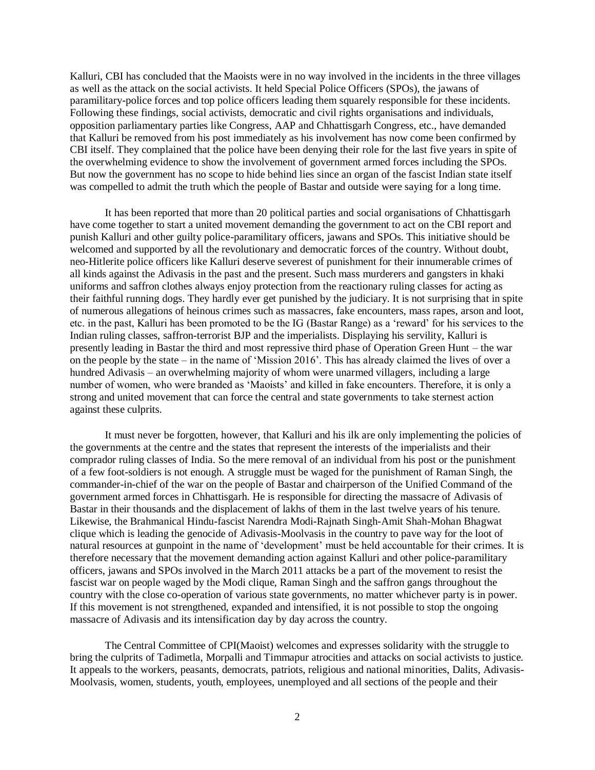Kalluri, CBI has concluded that the Maoists were in no way involved in the incidents in the three villages as well as the attack on the social activists. It held Special Police Officers (SPOs), the jawans of paramilitary-police forces and top police officers leading them squarely responsible for these incidents. Following these findings, social activists, democratic and civil rights organisations and individuals, opposition parliamentary parties like Congress, AAP and Chhattisgarh Congress, etc., have demanded that Kalluri be removed from his post immediately as his involvement has now come been confirmed by CBI itself. They complained that the police have been denying their role for the last five years in spite of the overwhelming evidence to show the involvement of government armed forces including the SPOs. But now the government has no scope to hide behind lies since an organ of the fascist Indian state itself was compelled to admit the truth which the people of Bastar and outside were saying for a long time.

It has been reported that more than 20 political parties and social organisations of Chhattisgarh have come together to start a united movement demanding the government to act on the CBI report and punish Kalluri and other guilty police-paramilitary officers, jawans and SPOs. This initiative should be welcomed and supported by all the revolutionary and democratic forces of the country. Without doubt, neo-Hitlerite police officers like Kalluri deserve severest of punishment for their innumerable crimes of all kinds against the Adivasis in the past and the present. Such mass murderers and gangsters in khaki uniforms and saffron clothes always enjoy protection from the reactionary ruling classes for acting as their faithful running dogs. They hardly ever get punished by the judiciary. It is not surprising that in spite of numerous allegations of heinous crimes such as massacres, fake encounters, mass rapes, arson and loot, etc. in the past, Kalluri has been promoted to be the IG (Bastar Range) as a 'reward' for his services to the Indian ruling classes, saffron-terrorist BJP and the imperialists. Displaying his servility, Kalluri is presently leading in Bastar the third and most repressive third phase of Operation Green Hunt – the war on the people by the state – in the name of 'Mission 2016'. This has already claimed the lives of over a hundred Adivasis – an overwhelming majority of whom were unarmed villagers, including a large number of women, who were branded as 'Maoists' and killed in fake encounters. Therefore, it is only a strong and united movement that can force the central and state governments to take sternest action against these culprits.

It must never be forgotten, however, that Kalluri and his ilk are only implementing the policies of the governments at the centre and the states that represent the interests of the imperialists and their comprador ruling classes of India. So the mere removal of an individual from his post or the punishment of a few foot-soldiers is not enough. A struggle must be waged for the punishment of Raman Singh, the commander-in-chief of the war on the people of Bastar and chairperson of the Unified Command of the government armed forces in Chhattisgarh. He is responsible for directing the massacre of Adivasis of Bastar in their thousands and the displacement of lakhs of them in the last twelve years of his tenure. Likewise, the Brahmanical Hindu-fascist Narendra Modi-Rajnath Singh-Amit Shah-Mohan Bhagwat clique which is leading the genocide of Adivasis-Moolvasis in the country to pave way for the loot of natural resources at gunpoint in the name of 'development' must be held accountable for their crimes. It is therefore necessary that the movement demanding action against Kalluri and other police-paramilitary officers, jawans and SPOs involved in the March 2011 attacks be a part of the movement to resist the fascist war on people waged by the Modi clique, Raman Singh and the saffron gangs throughout the country with the close co-operation of various state governments, no matter whichever party is in power. If this movement is not strengthened, expanded and intensified, it is not possible to stop the ongoing massacre of Adivasis and its intensification day by day across the country.

The Central Committee of CPI(Maoist) welcomes and expresses solidarity with the struggle to bring the culprits of Tadimetla, Morpalli and Timmapur atrocities and attacks on social activists to justice. It appeals to the workers, peasants, democrats, patriots, religious and national minorities, Dalits, Adivasis-Moolvasis, women, students, youth, employees, unemployed and all sections of the people and their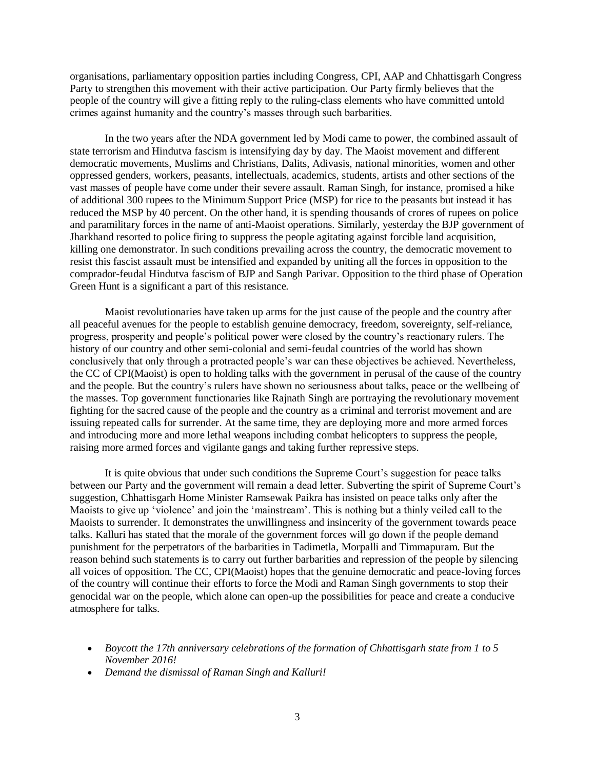organisations, parliamentary opposition parties including Congress, CPI, AAP and Chhattisgarh Congress Party to strengthen this movement with their active participation. Our Party firmly believes that the people of the country will give a fitting reply to the ruling-class elements who have committed untold crimes against humanity and the country's masses through such barbarities.

In the two years after the NDA government led by Modi came to power, the combined assault of state terrorism and Hindutva fascism is intensifying day by day. The Maoist movement and different democratic movements, Muslims and Christians, Dalits, Adivasis, national minorities, women and other oppressed genders, workers, peasants, intellectuals, academics, students, artists and other sections of the vast masses of people have come under their severe assault. Raman Singh, for instance, promised a hike of additional 300 rupees to the Minimum Support Price (MSP) for rice to the peasants but instead it has reduced the MSP by 40 percent. On the other hand, it is spending thousands of crores of rupees on police and paramilitary forces in the name of anti-Maoist operations. Similarly, yesterday the BJP government of Jharkhand resorted to police firing to suppress the people agitating against forcible land acquisition, killing one demonstrator. In such conditions prevailing across the country, the democratic movement to resist this fascist assault must be intensified and expanded by uniting all the forces in opposition to the comprador-feudal Hindutva fascism of BJP and Sangh Parivar. Opposition to the third phase of Operation Green Hunt is a significant a part of this resistance.

Maoist revolutionaries have taken up arms for the just cause of the people and the country after all peaceful avenues for the people to establish genuine democracy, freedom, sovereignty, self-reliance, progress, prosperity and people's political power were closed by the country's reactionary rulers. The history of our country and other semi-colonial and semi-feudal countries of the world has shown conclusively that only through a protracted people's war can these objectives be achieved. Nevertheless, the CC of CPI(Maoist) is open to holding talks with the government in perusal of the cause of the country and the people. But the country's rulers have shown no seriousness about talks, peace or the wellbeing of the masses. Top government functionaries like Rajnath Singh are portraying the revolutionary movement fighting for the sacred cause of the people and the country as a criminal and terrorist movement and are issuing repeated calls for surrender. At the same time, they are deploying more and more armed forces and introducing more and more lethal weapons including combat helicopters to suppress the people, raising more armed forces and vigilante gangs and taking further repressive steps.

It is quite obvious that under such conditions the Supreme Court's suggestion for peace talks between our Party and the government will remain a dead letter. Subverting the spirit of Supreme Court's suggestion, Chhattisgarh Home Minister Ramsewak Paikra has insisted on peace talks only after the Maoists to give up 'violence' and join the 'mainstream'. This is nothing but a thinly veiled call to the Maoists to surrender. It demonstrates the unwillingness and insincerity of the government towards peace talks. Kalluri has stated that the morale of the government forces will go down if the people demand punishment for the perpetrators of the barbarities in Tadimetla, Morpalli and Timmapuram. But the reason behind such statements is to carry out further barbarities and repression of the people by silencing all voices of opposition. The CC, CPI(Maoist) hopes that the genuine democratic and peace-loving forces of the country will continue their efforts to force the Modi and Raman Singh governments to stop their genocidal war on the people, which alone can open-up the possibilities for peace and create a conducive atmosphere for talks.

- *Boycott the 17th anniversary celebrations of the formation of Chhattisgarh state from 1 to 5 November 2016!*
- *Demand the dismissal of Raman Singh and Kalluri!*